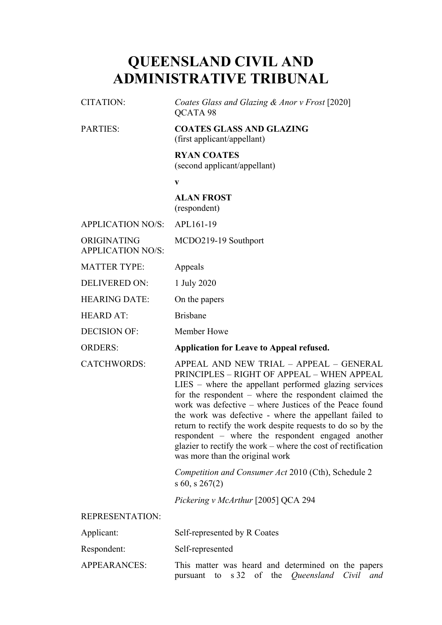## **QUEENSLAND CIVIL AND ADMINISTRATIVE TRIBUNAL**

| <b>CITATION:</b>                        | Coates Glass and Glazing & Anor v Frost [2020]<br>QCATA 98                                                                                                                                                                                                                                                                                                                                                                                                                                                                                              |
|-----------------------------------------|---------------------------------------------------------------------------------------------------------------------------------------------------------------------------------------------------------------------------------------------------------------------------------------------------------------------------------------------------------------------------------------------------------------------------------------------------------------------------------------------------------------------------------------------------------|
| <b>PARTIES:</b>                         | <b>COATES GLASS AND GLAZING</b><br>(first applicant/appellant)                                                                                                                                                                                                                                                                                                                                                                                                                                                                                          |
|                                         | <b>RYAN COATES</b><br>(second applicant/appellant)                                                                                                                                                                                                                                                                                                                                                                                                                                                                                                      |
|                                         | $\mathbf{V}$                                                                                                                                                                                                                                                                                                                                                                                                                                                                                                                                            |
|                                         | <b>ALAN FROST</b><br>(respondent)                                                                                                                                                                                                                                                                                                                                                                                                                                                                                                                       |
| <b>APPLICATION NO/S:</b>                | APL161-19                                                                                                                                                                                                                                                                                                                                                                                                                                                                                                                                               |
| ORIGINATING<br><b>APPLICATION NO/S:</b> | MCDO219-19 Southport                                                                                                                                                                                                                                                                                                                                                                                                                                                                                                                                    |
| <b>MATTER TYPE:</b>                     | Appeals                                                                                                                                                                                                                                                                                                                                                                                                                                                                                                                                                 |
| <b>DELIVERED ON:</b>                    | 1 July 2020                                                                                                                                                                                                                                                                                                                                                                                                                                                                                                                                             |
| <b>HEARING DATE:</b>                    | On the papers                                                                                                                                                                                                                                                                                                                                                                                                                                                                                                                                           |
| <b>HEARD AT:</b>                        | <b>Brisbane</b>                                                                                                                                                                                                                                                                                                                                                                                                                                                                                                                                         |
| <b>DECISION OF:</b>                     | Member Howe                                                                                                                                                                                                                                                                                                                                                                                                                                                                                                                                             |
| <b>ORDERS:</b>                          | Application for Leave to Appeal refused.                                                                                                                                                                                                                                                                                                                                                                                                                                                                                                                |
| <b>CATCHWORDS:</b>                      |                                                                                                                                                                                                                                                                                                                                                                                                                                                                                                                                                         |
|                                         | APPEAL AND NEW TRIAL - APPEAL - GENERAL<br>PRINCIPLES - RIGHT OF APPEAL - WHEN APPEAL<br>$LIES$ – where the appellant performed glazing services<br>for the respondent $-$ where the respondent claimed the<br>work was defective – where Justices of the Peace found<br>the work was defective - where the appellant failed to<br>return to rectify the work despite requests to do so by the<br>respondent – where the respondent engaged another<br>glazier to rectify the work – where the cost of rectification<br>was more than the original work |
|                                         | Competition and Consumer Act 2010 (Cth), Schedule 2<br>$s$ 60, $s$ 267(2)                                                                                                                                                                                                                                                                                                                                                                                                                                                                               |
|                                         | Pickering v McArthur [2005] QCA 294                                                                                                                                                                                                                                                                                                                                                                                                                                                                                                                     |
| <b>REPRESENTATION:</b>                  |                                                                                                                                                                                                                                                                                                                                                                                                                                                                                                                                                         |
| Applicant:                              | Self-represented by R Coates                                                                                                                                                                                                                                                                                                                                                                                                                                                                                                                            |
| Respondent:                             | Self-represented                                                                                                                                                                                                                                                                                                                                                                                                                                                                                                                                        |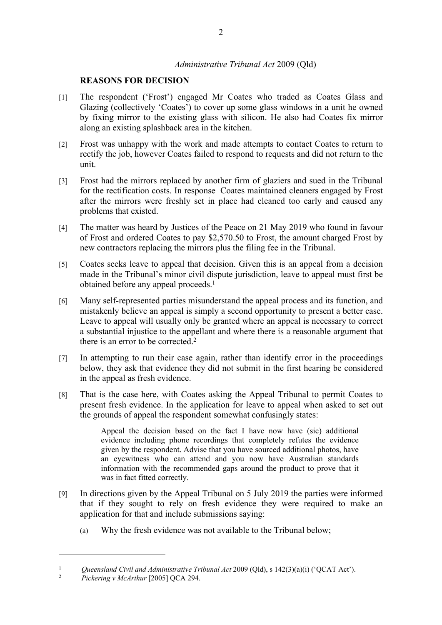## *Administrative Tribunal Act* 2009 (Qld)

## **REASONS FOR DECISION**

- [1] The respondent ('Frost') engaged Mr Coates who traded as Coates Glass and Glazing (collectively 'Coates') to cover up some glass windows in a unit he owned by fixing mirror to the existing glass with silicon. He also had Coates fix mirror along an existing splashback area in the kitchen.
- [2] Frost was unhappy with the work and made attempts to contact Coates to return to rectify the job, however Coates failed to respond to requests and did not return to the unit.
- [3] Frost had the mirrors replaced by another firm of glaziers and sued in the Tribunal for the rectification costs. In response Coates maintained cleaners engaged by Frost after the mirrors were freshly set in place had cleaned too early and caused any problems that existed.
- [4] The matter was heard by Justices of the Peace on 21 May 2019 who found in favour of Frost and ordered Coates to pay \$2,570.50 to Frost, the amount charged Frost by new contractors replacing the mirrors plus the filing fee in the Tribunal.
- [5] Coates seeks leave to appeal that decision. Given this is an appeal from a decision made in the Tribunal's minor civil dispute jurisdiction, leave to appeal must first be obtained before any appeal proceeds.<sup>1</sup>
- [6] Many self-represented parties misunderstand the appeal process and its function, and mistakenly believe an appeal is simply a second opportunity to present a better case. Leave to appeal will usually only be granted where an appeal is necessary to correct a substantial injustice to the appellant and where there is a reasonable argument that there is an error to be corrected.<sup>2</sup>
- [7] In attempting to run their case again, rather than identify error in the proceedings below, they ask that evidence they did not submit in the first hearing be considered in the appeal as fresh evidence.
- [8] That is the case here, with Coates asking the Appeal Tribunal to permit Coates to present fresh evidence. In the application for leave to appeal when asked to set out the grounds of appeal the respondent somewhat confusingly states:

Appeal the decision based on the fact I have now have (sic) additional evidence including phone recordings that completely refutes the evidence given by the respondent. Advise that you have sourced additional photos, have an eyewitness who can attend and you now have Australian standards information with the recommended gaps around the product to prove that it was in fact fitted correctly.

- [9] In directions given by the Appeal Tribunal on 5 July 2019 the parties were informed that if they sought to rely on fresh evidence they were required to make an application for that and include submissions saying:
	- (a) Why the fresh evidence was not available to the Tribunal below;

<sup>&</sup>lt;sup>1</sup> *Queensland Civil and Administrative Tribunal Act* 2009 (Qld), s 142(3)(a)(i) ('QCAT Act').

<sup>2</sup> *Pickering v McArthur* [2005] QCA 294.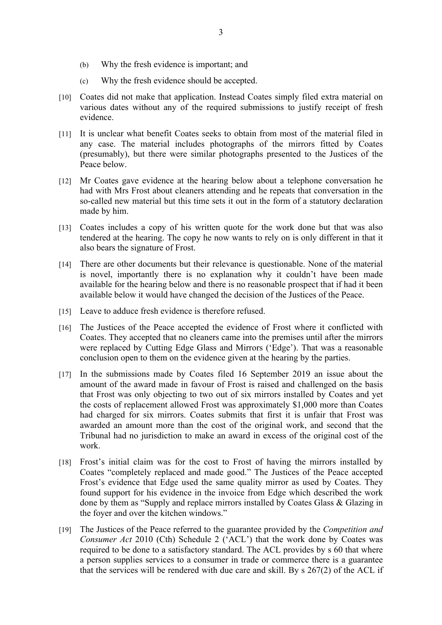- (b) Why the fresh evidence is important; and
- (c) Why the fresh evidence should be accepted.
- [10] Coates did not make that application. Instead Coates simply filed extra material on various dates without any of the required submissions to justify receipt of fresh evidence.
- [11] It is unclear what benefit Coates seeks to obtain from most of the material filed in any case. The material includes photographs of the mirrors fitted by Coates (presumably), but there were similar photographs presented to the Justices of the Peace below.
- [12] Mr Coates gave evidence at the hearing below about a telephone conversation he had with Mrs Frost about cleaners attending and he repeats that conversation in the so-called new material but this time sets it out in the form of a statutory declaration made by him.
- [13] Coates includes a copy of his written quote for the work done but that was also tendered at the hearing. The copy he now wants to rely on is only different in that it also bears the signature of Frost.
- [14] There are other documents but their relevance is questionable. None of the material is novel, importantly there is no explanation why it couldn't have been made available for the hearing below and there is no reasonable prospect that if had it been available below it would have changed the decision of the Justices of the Peace.
- [15] Leave to adduce fresh evidence is therefore refused.
- [16] The Justices of the Peace accepted the evidence of Frost where it conflicted with Coates. They accepted that no cleaners came into the premises until after the mirrors were replaced by Cutting Edge Glass and Mirrors ('Edge'). That was a reasonable conclusion open to them on the evidence given at the hearing by the parties.
- [17] In the submissions made by Coates filed 16 September 2019 an issue about the amount of the award made in favour of Frost is raised and challenged on the basis that Frost was only objecting to two out of six mirrors installed by Coates and yet the costs of replacement allowed Frost was approximately \$1,000 more than Coates had charged for six mirrors. Coates submits that first it is unfair that Frost was awarded an amount more than the cost of the original work, and second that the Tribunal had no jurisdiction to make an award in excess of the original cost of the work.
- [18] Frost's initial claim was for the cost to Frost of having the mirrors installed by Coates "completely replaced and made good." The Justices of the Peace accepted Frost's evidence that Edge used the same quality mirror as used by Coates. They found support for his evidence in the invoice from Edge which described the work done by them as "Supply and replace mirrors installed by Coates Glass & Glazing in the foyer and over the kitchen windows."
- [19] The Justices of the Peace referred to the guarantee provided by the *Competition and Consumer Act* 2010 (Cth) Schedule 2 ('ACL') that the work done by Coates was required to be done to a satisfactory standard. The ACL provides by s 60 that where a person supplies services to a consumer in trade or commerce there is a guarantee that the services will be rendered with due care and skill. By s 267(2) of the ACL if